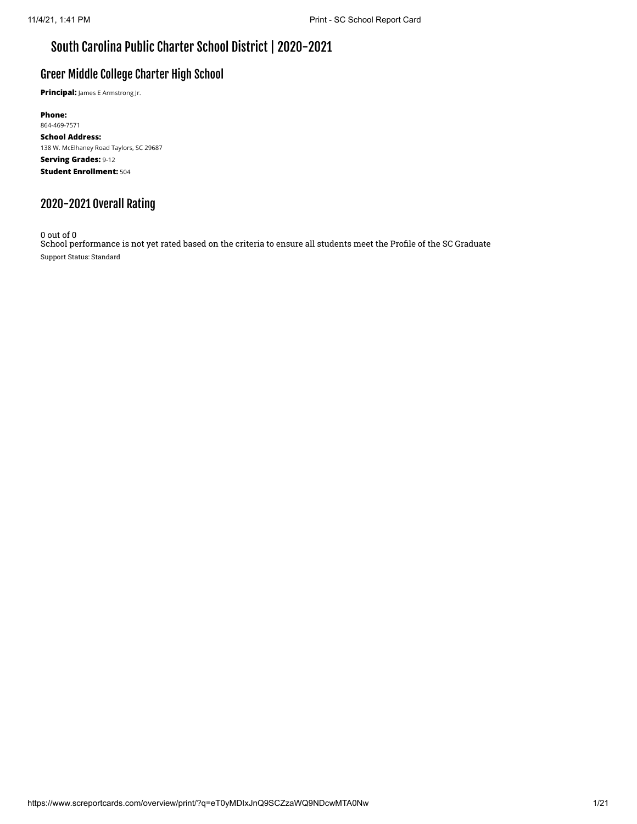# South Carolina Public Charter School District | 2020-2021

### Greer Middle College Charter High School

**Principal:** James E Armstrong Jr.

**Phone:** 864-469-7571 **School Address:** 138 W. McElhaney Road Taylors, SC 29687 **Serving Grades:** 9-12 **Student Enrollment:** 504

# 2020-2021 Overall Rating

0 out of 0

School performance is not yet rated based on the criteria to ensure all students meet the Profile of the SC Graduate Support Status: Standard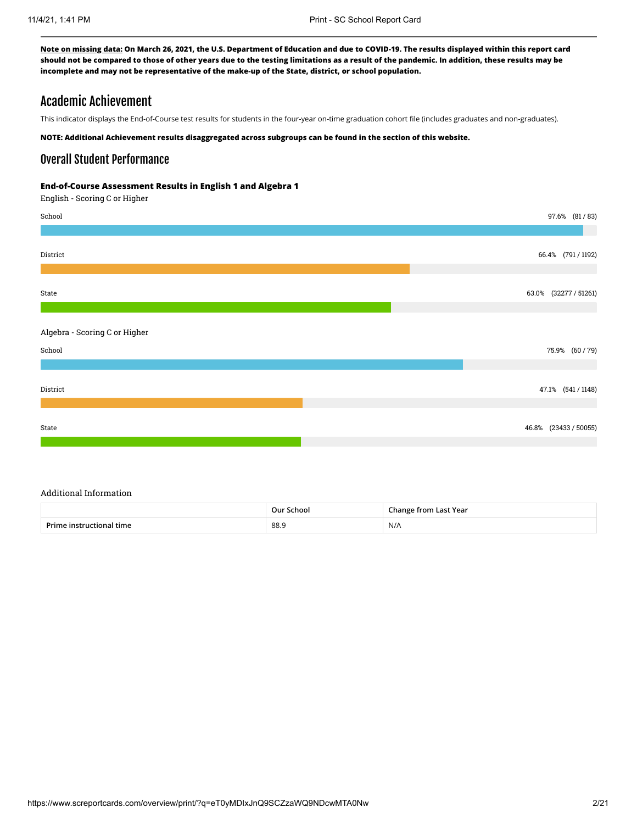### Academic Achievement

This indicator displays the End-of-Course test results for students in the four-year on-time graduation cohort file (includes graduates and non-graduates).

**NOTE: Additional Achievement results disaggregated across subgroups can be found in the section of this website.**

### Overall Student Performance

#### **End-of-Course Assessment Results in English 1 and Algebra 1**

English - Scoring C or Higher



#### Additional Information

|                          | Our School | <b>Change from Last Year</b> |
|--------------------------|------------|------------------------------|
| Prime instructional time | 88.9       | N/A                          |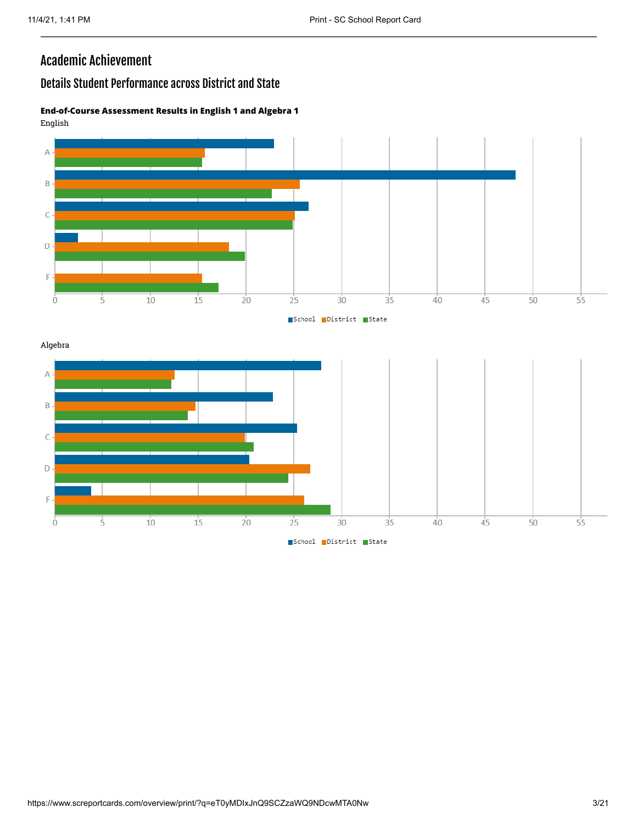$\mathsf C$ 

 $\mathsf D$ 

 $\overline{F}$ 

Ò

 $\overline{5}$ 

 $\overline{10}$ 

 $\overline{15}$ 

 $\frac{1}{20}$ 

 $\frac{1}{25}$ 

 $35$ 

 $30^{\circ}$ School District State  $40^{\circ}$ 

 $\overline{45}$ 

 $\overline{50}$ 

 $55^{\circ}$ 

# Academic Achievement

### Details Student Performance across District and State

#### **End-of-Course Assessment Results in English 1 and Algebra 1** English

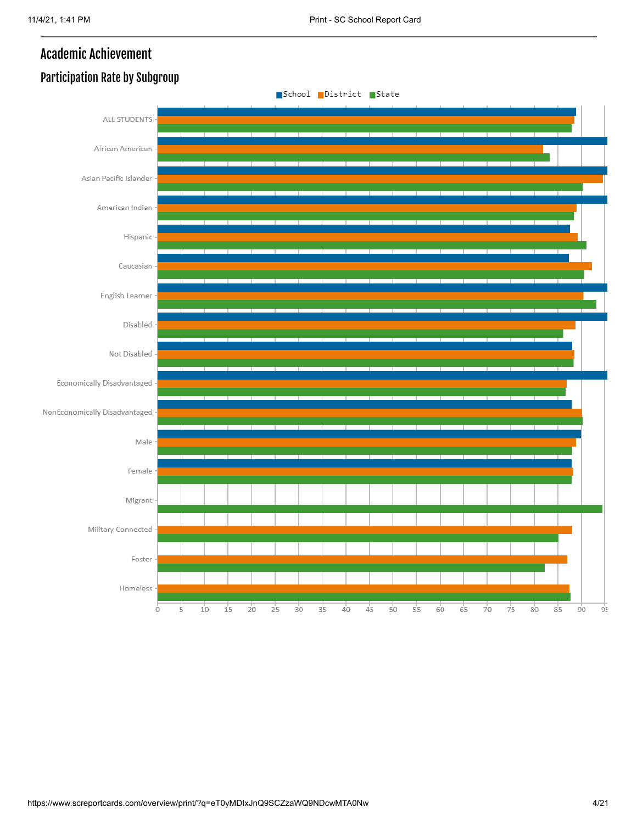# Academic Achievement



# Participation Rate by Subgroup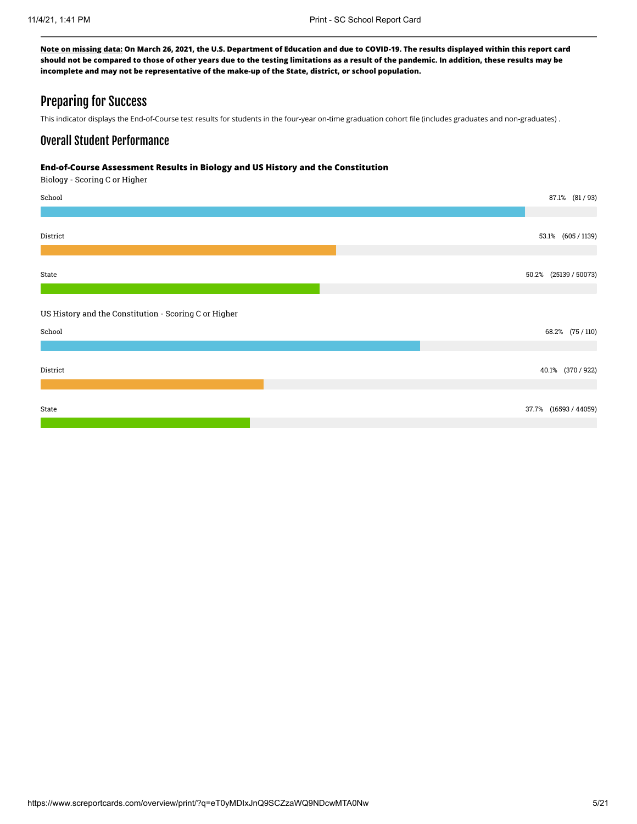### Preparing for Success

This indicator displays the End-of-Course test results for students in the four-year on-time graduation cohort file (includes graduates and non-graduates) .

### Overall Student Performance

#### **End-of-Course Assessment Results in Biology and US History and the Constitution**

Biology - Scoring C or Higher

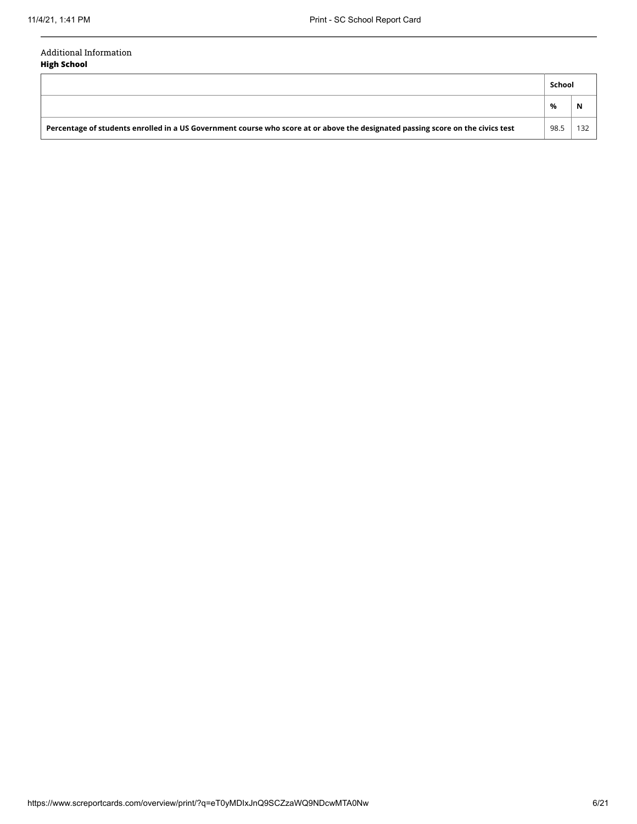#### Additional Information **High School**

|                                                                                                                                 |      | School |  |
|---------------------------------------------------------------------------------------------------------------------------------|------|--------|--|
|                                                                                                                                 | %    | N      |  |
| Percentage of students enrolled in a US Government course who score at or above the designated passing score on the civics test | 98.5 |        |  |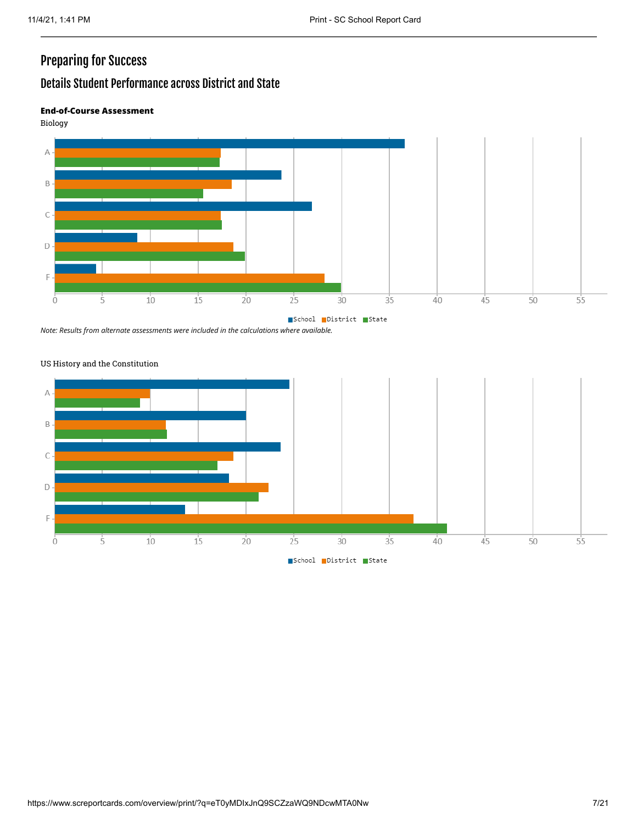# Preparing for Success

# Details Student Performance across District and State

#### **End-of-Course Assessment**

Biology



*Note: Results from alternate assessments were included in the calculations where available.*



#### US History and the Constitution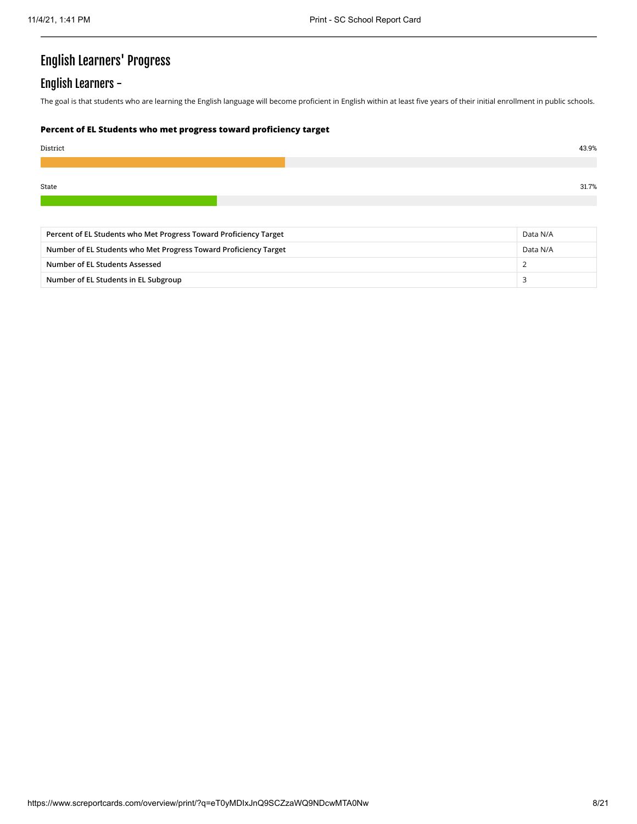# English Learners' Progress

# English Learners -

The goal is that students who are learning the English language will become proficient in English within at least five years of their initial enrollment in public schools.

#### **Percent of EL Students who met progress toward proficiency target**

| 43.9% |
|-------|
|       |
| 31.7% |
|       |

| Percent of EL Students who Met Progress Toward Proficiency Target |          |
|-------------------------------------------------------------------|----------|
| Number of EL Students who Met Progress Toward Proficiency Target  | Data N/A |
| Number of EL Students Assessed                                    |          |
| Number of EL Students in EL Subgroup                              |          |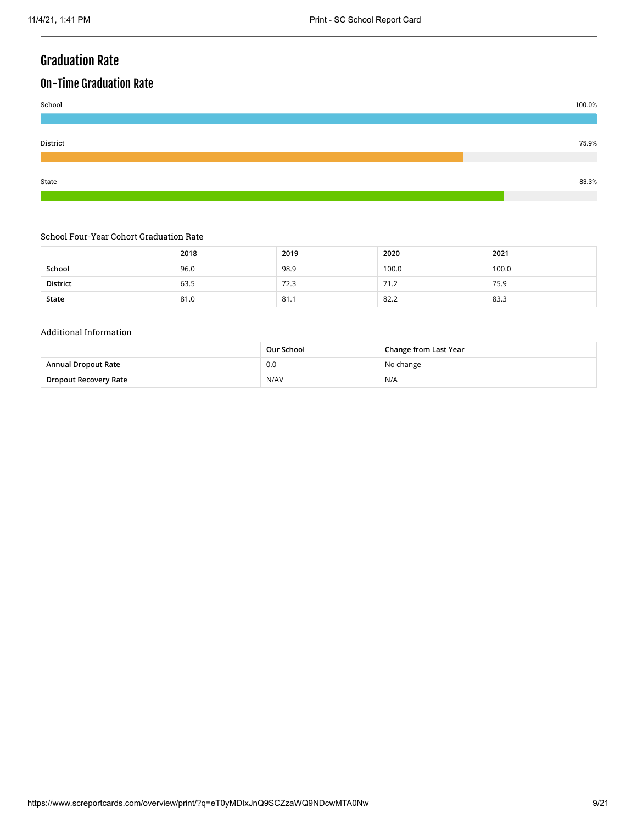# Graduation Rate

# On-Time Graduation Rate



#### School Four-Year Cohort Graduation Rate

|          | 2018 | 2019 | 2020  | 2021  |
|----------|------|------|-------|-------|
| School   | 96.0 | 98.9 | 100.0 | 100.0 |
| District | 63.5 | 72.3 | 71.2  | 75.9  |
| State    | 81.0 | 81.7 | 82.2  | 83.3  |

#### Additional Information

|                            | Our School | Change from Last Year |
|----------------------------|------------|-----------------------|
| <b>Annual Dropout Rate</b> | 0.0        | No change             |
| Dropout Recovery Rate      | N/AV       | N/A                   |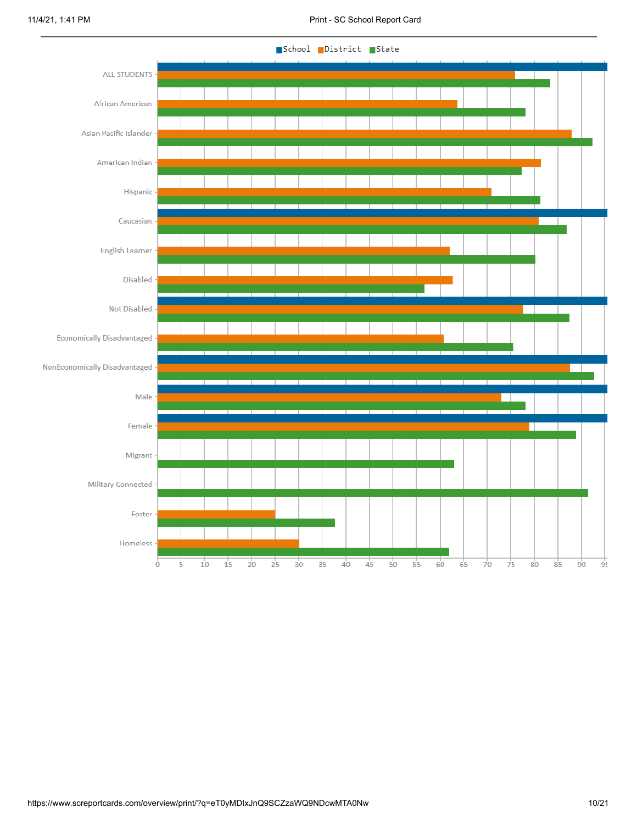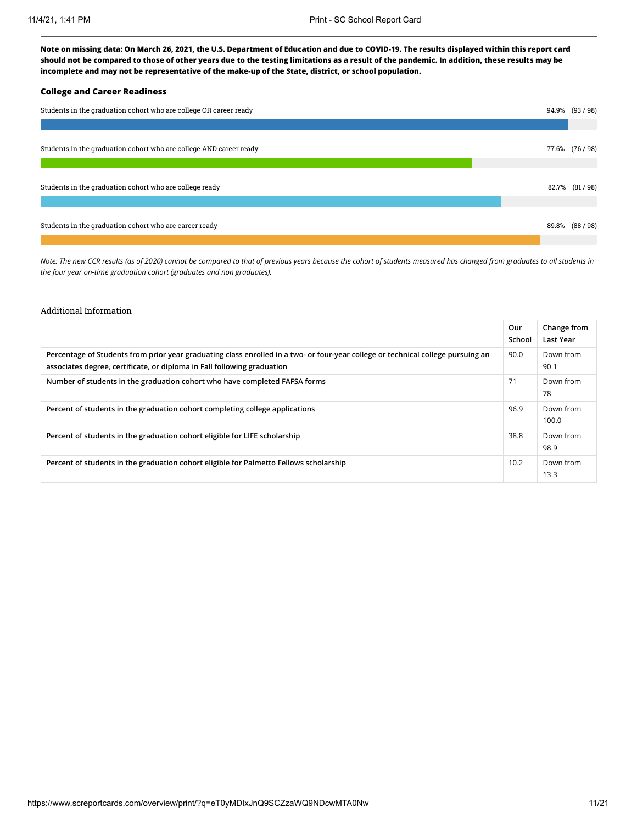#### **College and Career Readiness**

| Students in the graduation cohort who are college OR career ready  |  | 94.9% (93/98)   |
|--------------------------------------------------------------------|--|-----------------|
|                                                                    |  |                 |
| Students in the graduation cohort who are college AND career ready |  | 77.6% (76 / 98) |
|                                                                    |  |                 |
| Students in the graduation cohort who are college ready            |  | 82.7% (81/98)   |
|                                                                    |  |                 |
| Students in the graduation cohort who are career ready             |  | 89.8% (88/98)   |
|                                                                    |  |                 |

*Note: The new CCR results (as of 2020) cannot be compared to that of previous years because the cohort of students measured has changed from graduates to all students in the four year on-time graduation cohort (graduates and non graduates).*

#### Additional Information

|                                                                                                                                                                                                             | Our<br>School | Change from<br>Last Year |
|-------------------------------------------------------------------------------------------------------------------------------------------------------------------------------------------------------------|---------------|--------------------------|
| Percentage of Students from prior year graduating class enrolled in a two- or four-year college or technical college pursuing an<br>associates degree, certificate, or diploma in Fall following graduation | 90.0          | Down from<br>90.1        |
| Number of students in the graduation cohort who have completed FAFSA forms                                                                                                                                  | 71            | Down from<br>78          |
| Percent of students in the graduation cohort completing college applications                                                                                                                                | 96.9          | Down from<br>100.0       |
| Percent of students in the graduation cohort eligible for LIFE scholarship                                                                                                                                  | 38.8          | Down from<br>98.9        |
| Percent of students in the graduation cohort eligible for Palmetto Fellows scholarship                                                                                                                      | 10.2          | Down from<br>13.3        |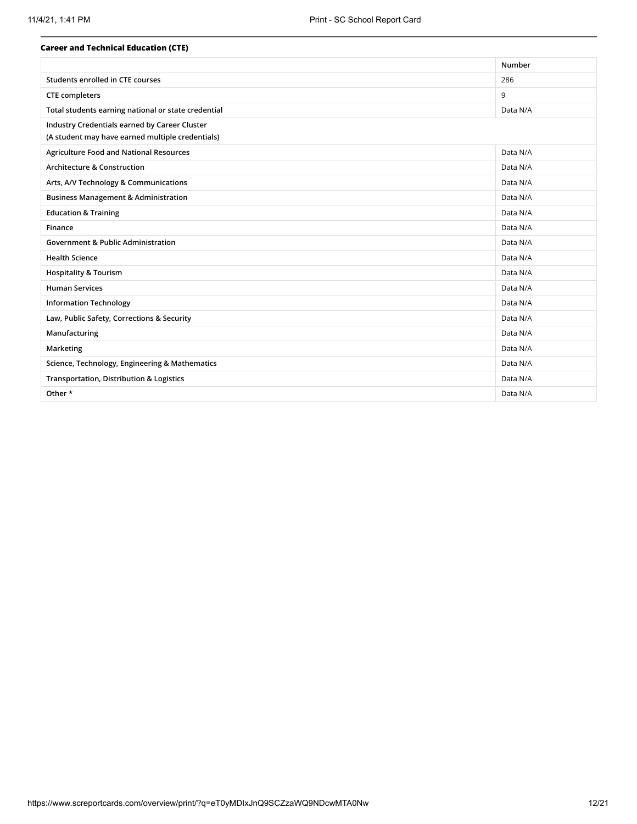| <b>Career and Technical Education (CTE)</b>         |          |
|-----------------------------------------------------|----------|
|                                                     | Number   |
| Students enrolled in CTE courses                    | 286      |
| <b>CTE</b> completers                               | 9        |
| Total students earning national or state credential | Data N/A |
| Industry Credentials earned by Career Cluster       |          |
| (A student may have earned multiple credentials)    |          |
| <b>Agriculture Food and National Resources</b>      | Data N/A |
| <b>Architecture &amp; Construction</b>              | Data N/A |
| Arts, A/V Technology & Communications               | Data N/A |
| <b>Business Management &amp; Administration</b>     | Data N/A |
| <b>Education &amp; Training</b>                     | Data N/A |
| Finance                                             | Data N/A |
| <b>Government &amp; Public Administration</b>       | Data N/A |
| <b>Health Science</b>                               | Data N/A |
| <b>Hospitality &amp; Tourism</b>                    | Data N/A |
| <b>Human Services</b>                               | Data N/A |
| <b>Information Technology</b>                       | Data N/A |
| Law, Public Safety, Corrections & Security          | Data N/A |
| Manufacturing                                       | Data N/A |
| Marketing                                           | Data N/A |
| Science, Technology, Engineering & Mathematics      | Data N/A |
| Transportation, Distribution & Logistics            | Data N/A |
| Other *                                             | Data N/A |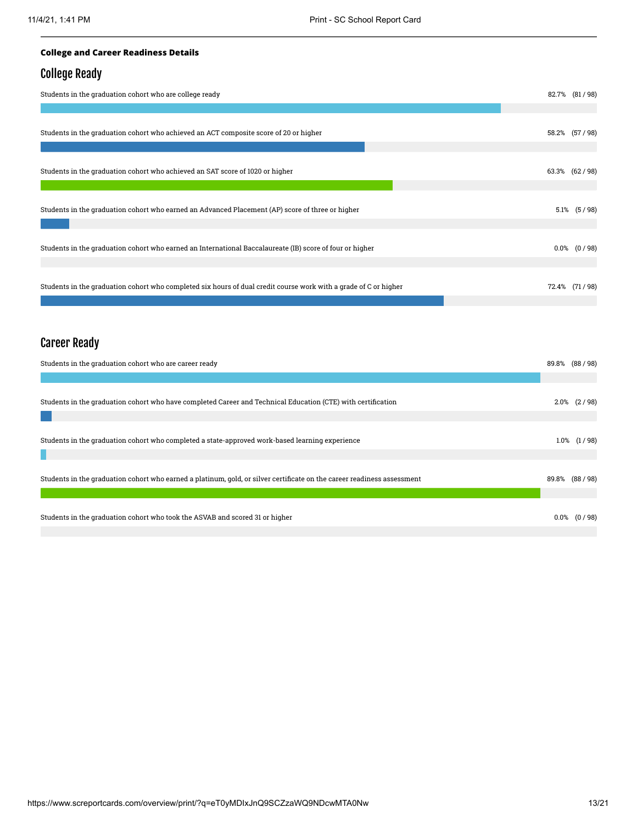#### **College and Career Readiness Details**

### College Ready

| Students in the graduation cohort who are college ready                                                          | 82.7% (81/98)    |
|------------------------------------------------------------------------------------------------------------------|------------------|
|                                                                                                                  |                  |
| Students in the graduation cohort who achieved an ACT composite score of 20 or higher                            | 58.2% (57/98)    |
| Students in the graduation cohort who achieved an SAT score of 1020 or higher                                    | 63.3% (62/98)    |
| Students in the graduation cohort who earned an Advanced Placement (AP) score of three or higher                 | $5.1\%$ $(5/98)$ |
| Students in the graduation cohort who earned an International Baccalaureate (IB) score of four or higher         | $0.0\%$ $(0/98)$ |
| Students in the graduation cohort who completed six hours of dual credit course work with a grade of C or higher | 72.4% (71/98)    |

# Career Ready

| Students in the graduation cohort who are career ready                                                                  |         |                  |
|-------------------------------------------------------------------------------------------------------------------------|---------|------------------|
|                                                                                                                         |         |                  |
| Students in the graduation cohort who have completed Career and Technical Education (CTE) with certification            |         | $2.0\%$ $(2/98)$ |
| Students in the graduation cohort who completed a state-approved work-based learning experience                         | $1.0\%$ | (1/98)           |
| Students in the graduation cohort who earned a platinum, gold, or silver certificate on the career readiness assessment |         | 89.8% (88/98)    |
| Students in the graduation cohort who took the ASVAB and scored 31 or higher                                            |         | $0.0\%$ $(0/98)$ |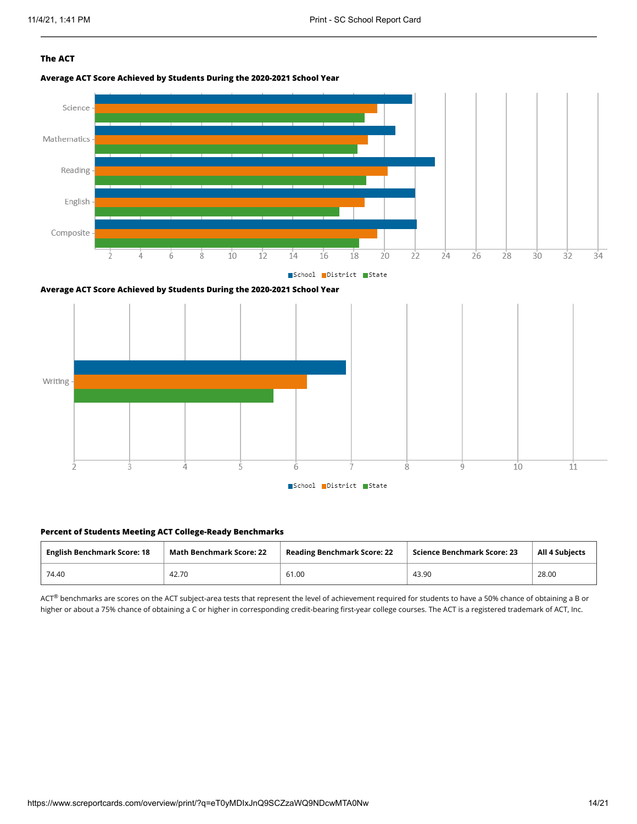#### **The ACT**

**Average ACT Score Achieved by Students During the 2020-2021 School Year**







#### **Percent of Students Meeting ACT College-Ready Benchmarks**

| <b>English Benchmark Score: 18</b> | <b>Math Benchmark Score: 22</b> | <b>Reading Benchmark Score: 22</b> | Science Benchmark Score: 23 | <b>All 4 Subjects</b> |
|------------------------------------|---------------------------------|------------------------------------|-----------------------------|-----------------------|
| 74.40                              | 42.70                           | 61.00                              | 43.90                       | 28.00                 |

 $ACT^{\circledast}$  benchmarks are scores on the ACT subject-area tests that represent the level of achievement required for students to have a 50% chance of obtaining a B or higher or about a 75% chance of obtaining a C or higher in corresponding credit-bearing first-year college courses. The ACT is a registered trademark of ACT, Inc.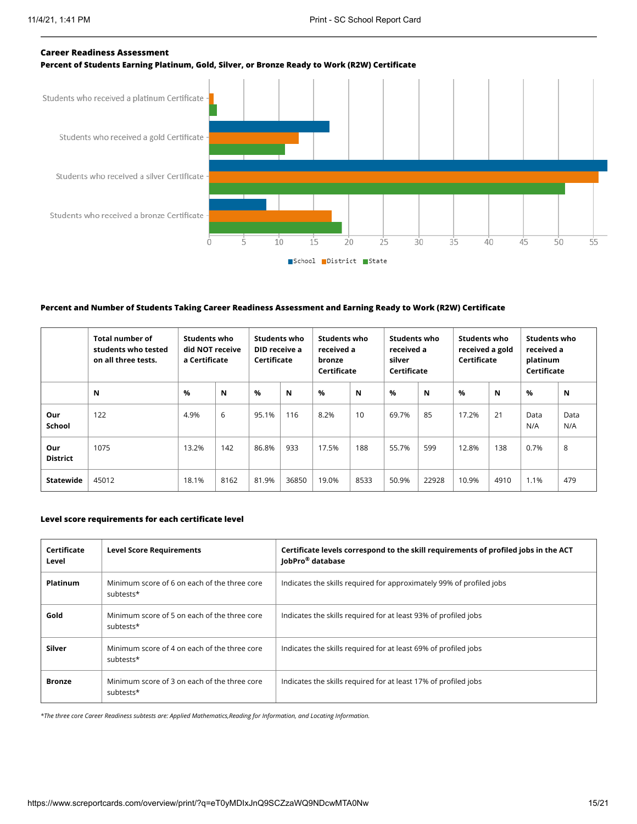

#### **Percent and Number of Students Taking Career Readiness Assessment and Earning Ready to Work (R2W) Certificate**

|                        | <b>Total number of</b><br>students who tested<br>on all three tests. | Students who<br>did NOT receive<br>a Certificate |      | Students who<br>DID receive a<br>Certificate |       | Students who<br>received a<br>bronze<br>Certificate |      | Students who<br>received a<br>silver<br>Certificate |       | Students who<br>received a gold<br>Certificate |      | Students who<br>received a<br>platinum<br>Certificate |             |
|------------------------|----------------------------------------------------------------------|--------------------------------------------------|------|----------------------------------------------|-------|-----------------------------------------------------|------|-----------------------------------------------------|-------|------------------------------------------------|------|-------------------------------------------------------|-------------|
|                        | N                                                                    | %                                                | N    | %                                            | N     | $\frac{9}{6}$                                       | N    | $\%$                                                | N     | $\%$                                           | N    | %                                                     | N           |
| Our<br><b>School</b>   | 122                                                                  | 4.9%                                             | 6    | 95.1%                                        | 116   | 8.2%                                                | 10   | 69.7%                                               | 85    | 17.2%                                          | 21   | Data<br>N/A                                           | Data<br>N/A |
| Our<br><b>District</b> | 1075                                                                 | 13.2%                                            | 142  | 86.8%                                        | 933   | 17.5%                                               | 188  | 55.7%                                               | 599   | 12.8%                                          | 138  | 0.7%                                                  | 8           |
| Statewide              | 45012                                                                | 18.1%                                            | 8162 | 81.9%                                        | 36850 | 19.0%                                               | 8533 | 50.9%                                               | 22928 | 10.9%                                          | 4910 | 1.1%                                                  | 479         |

#### **Level score requirements for each certificate level**

| Certificate<br>Level | <b>Level Score Requirements</b>                           | Certificate levels correspond to the skill requirements of profiled jobs in the ACT<br>JobPro <sup>®</sup> database |
|----------------------|-----------------------------------------------------------|---------------------------------------------------------------------------------------------------------------------|
| <b>Platinum</b>      | Minimum score of 6 on each of the three core<br>subtests* | Indicates the skills required for approximately 99% of profiled jobs                                                |
| Gold                 | Minimum score of 5 on each of the three core<br>subtests* | Indicates the skills required for at least 93% of profiled jobs                                                     |
| Silver               | Minimum score of 4 on each of the three core<br>subtests* | Indicates the skills required for at least 69% of profiled jobs                                                     |
| <b>Bronze</b>        | Minimum score of 3 on each of the three core<br>subtests* | Indicates the skills required for at least 17% of profiled jobs                                                     |

*\*The three core Career Readiness subtests are: Applied Mathematics,Reading for Information, and Locating Information.*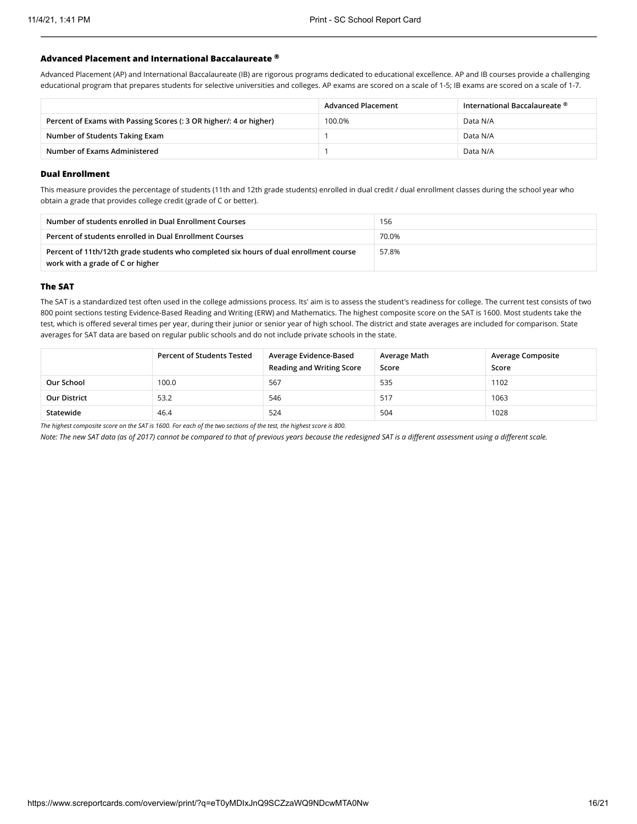#### **Advanced Placement and International Baccalaureate ®**

Advanced Placement (AP) and International Baccalaureate (IB) are rigorous programs dedicated to educational excellence. AP and IB courses provide a challenging educational program that prepares students for selective universities and colleges. AP exams are scored on a scale of 1-5; IB exams are scored on a scale of 1-7.

|                                                                    | <b>Advanced Placement</b> | International Baccalaureate $^\circledR$ |
|--------------------------------------------------------------------|---------------------------|------------------------------------------|
| Percent of Exams with Passing Scores (: 3 OR higher/: 4 or higher) | 100.0%                    | Data N/A                                 |
| Number of Students Taking Exam                                     |                           | Data N/A                                 |
| Number of Exams Administered                                       |                           | Data N/A                                 |

#### **Dual Enrollment**

This measure provides the percentage of students (11th and 12th grade students) enrolled in dual credit / dual enrollment classes during the school year who obtain a grade that provides college credit (grade of C or better).

| Number of students enrolled in Dual Enrollment Courses                                                                    | 156   |
|---------------------------------------------------------------------------------------------------------------------------|-------|
| Percent of students enrolled in Dual Enrollment Courses                                                                   | 70.0% |
| Percent of 11th/12th grade students who completed six hours of dual enrollment course<br>work with a grade of C or higher | 57.8% |

#### **The SAT**

The SAT is a standardized test often used in the college admissions process. Its' aim is to assess the student's readiness for college. The current test consists of two 800 point sections testing Evidence-Based Reading and Writing (ERW) and Mathematics. The highest composite score on the SAT is 1600. Most students take the test, which is offered several times per year, during their junior or senior year of high school. The district and state averages are included for comparison. State averages for SAT data are based on regular public schools and do not include private schools in the state.

|                                                                                                                    | <b>Percent of Students Tested</b> | Average Evidence-Based<br><b>Reading and Writing Score</b> | Average Math<br>Score | <b>Average Composite</b><br>Score |  |
|--------------------------------------------------------------------------------------------------------------------|-----------------------------------|------------------------------------------------------------|-----------------------|-----------------------------------|--|
| Our School                                                                                                         | 100.0                             | 567                                                        | 535                   | 1102                              |  |
| <b>Our District</b>                                                                                                | 53.2                              | 546                                                        | -517                  | 1063                              |  |
| Statewide                                                                                                          | 46.4                              | 524                                                        | 504                   | 1028                              |  |
| The bighest compasite scare on the CAT is 1600. For each of the two sections of the test, the bighest scare is 200 |                                   |                                                            |                       |                                   |  |

*The highest composite score on the SAT is 1600. For each of the two sections of the test, the highest score is 800.*

*Note: The new SAT data (as of 2017) cannot be compared to that of previous years because the redesigned SAT is a different assessment using a different scale.*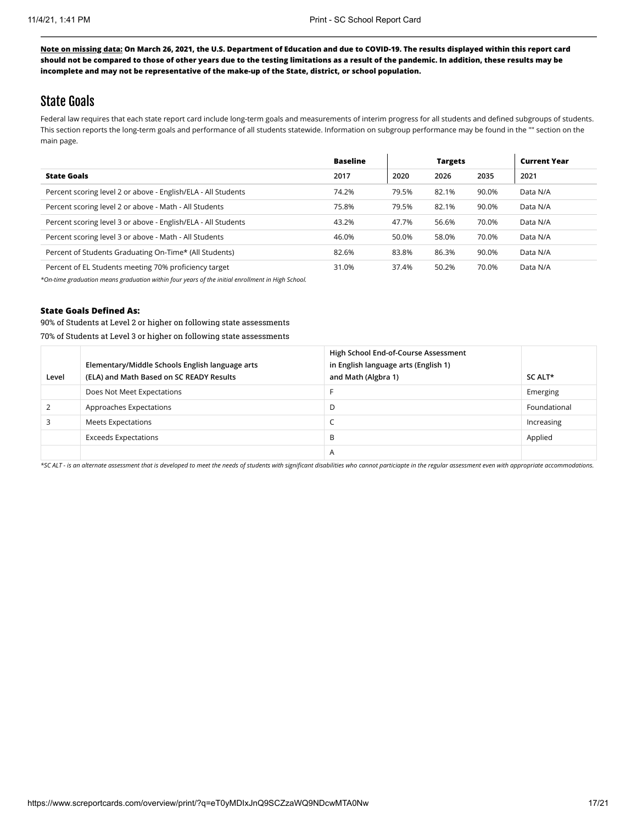### State Goals

Federal law requires that each state report card include long-term goals and measurements of interim progress for all students and defined subgroups of students. This section reports the long-term goals and performance of all students statewide. Information on subgroup performance may be found in the "" section on the main page.

|                                                               | <b>Baseline</b> |       | <b>Targets</b> |       | <b>Current Year</b> |
|---------------------------------------------------------------|-----------------|-------|----------------|-------|---------------------|
| <b>State Goals</b>                                            | 2017            | 2020  | 2026           | 2035  | 2021                |
| Percent scoring level 2 or above - English/ELA - All Students | 74.2%           | 79.5% | 82.1%          | 90.0% | Data N/A            |
| Percent scoring level 2 or above - Math - All Students        | 75.8%           | 79.5% | 82.1%          | 90.0% | Data N/A            |
| Percent scoring level 3 or above - English/ELA - All Students | 43.2%           | 47.7% | 56.6%          | 70.0% | Data N/A            |
| Percent scoring level 3 or above - Math - All Students        | 46.0%           | 50.0% | 58.0%          | 70.0% | Data N/A            |
| Percent of Students Graduating On-Time* (All Students)        | 82.6%           | 83.8% | 86.3%          | 90.0% | Data N/A            |
| Percent of EL Students meeting 70% proficiency target         | 31.0%           | 37.4% | 50.2%          | 70.0% | Data N/A            |

*\*On-time graduation means graduation within four years of the initial enrollment in High School.*

#### **State Goals Defined As:**

90% of Students at Level 2 or higher on following state assessments 70% of Students at Level 3 or higher on following state assessments

| Level | Elementary/Middle Schools English language arts<br>(ELA) and Math Based on SC READY Results | High School End-of-Course Assessment<br>in English language arts (English 1)<br>and Math (Algbra 1) | SC ALT*      |
|-------|---------------------------------------------------------------------------------------------|-----------------------------------------------------------------------------------------------------|--------------|
|       | Does Not Meet Expectations                                                                  |                                                                                                     | Emerging     |
|       | Approaches Expectations                                                                     | D                                                                                                   | Foundational |
|       | Meets Expectations                                                                          |                                                                                                     | Increasing   |
|       | <b>Exceeds Expectations</b>                                                                 | B                                                                                                   | Applied      |
|       |                                                                                             | A                                                                                                   |              |

*\*SC ALT - is an alternate assessment that is developed to meet the needs of students with significant disabilities who cannot particiapte in the regular assessment even with appropriate accommodations.*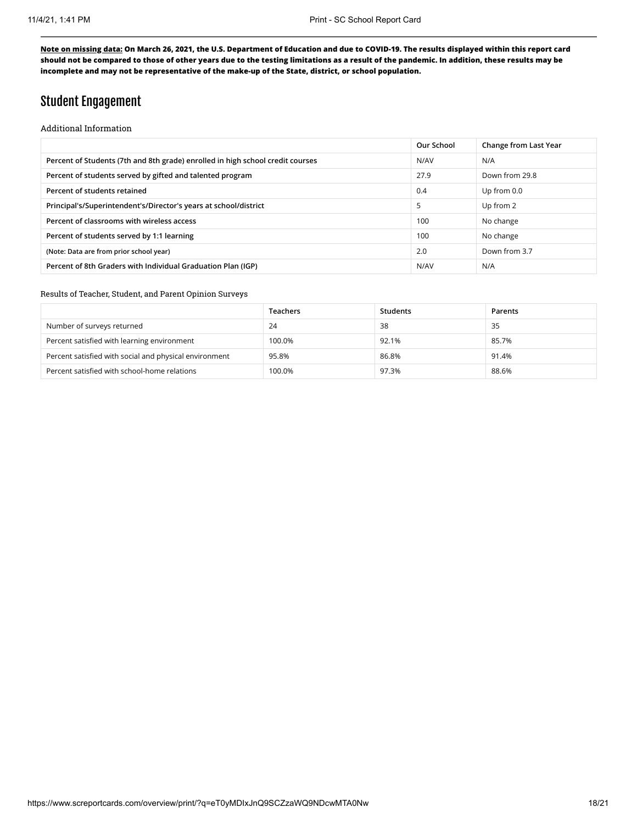### Student Engagement

Additional Information

|                                                                                | Our School | Change from Last Year |
|--------------------------------------------------------------------------------|------------|-----------------------|
| Percent of Students (7th and 8th grade) enrolled in high school credit courses | N/AV       | N/A                   |
| Percent of students served by gifted and talented program                      | 27.9       | Down from 29.8        |
| Percent of students retained                                                   | 0.4        | Up from 0.0           |
| Principal's/Superintendent's/Director's years at school/district               | 5          | Up from 2             |
| Percent of classrooms with wireless access                                     | 100        | No change             |
| Percent of students served by 1:1 learning                                     | 100        | No change             |
| (Note: Data are from prior school year)                                        | 2.0        | Down from 3.7         |
| Percent of 8th Graders with Individual Graduation Plan (IGP)                   | N/AV       | N/A                   |
|                                                                                |            |                       |

#### Results of Teacher, Student, and Parent Opinion Surveys

|                                                        | Teachers | Students | Parents |
|--------------------------------------------------------|----------|----------|---------|
| Number of surveys returned                             | 24       | 38       | 35      |
| Percent satisfied with learning environment            | 100.0%   | 92.1%    | 85.7%   |
| Percent satisfied with social and physical environment | 95.8%    | 86.8%    | 91.4%   |
| Percent satisfied with school-home relations           | 100.0%   | 97.3%    | 88.6%   |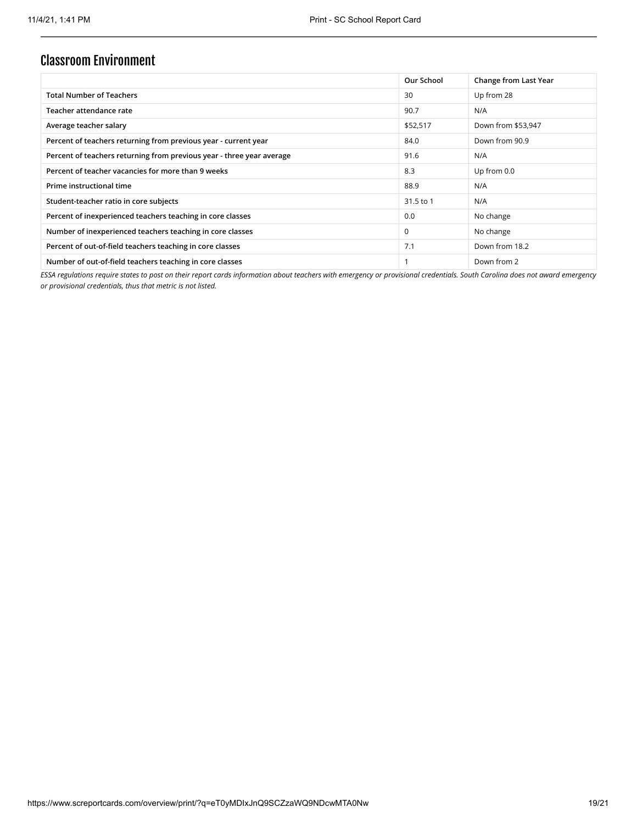### Classroom Environment

|                                                                       | Our School  | Change from Last Year |
|-----------------------------------------------------------------------|-------------|-----------------------|
| <b>Total Number of Teachers</b>                                       | 30          | Up from 28            |
| Teacher attendance rate                                               | 90.7        | N/A                   |
| Average teacher salary                                                | \$52,517    | Down from \$53,947    |
| Percent of teachers returning from previous year - current year       | 84.0        | Down from 90.9        |
| Percent of teachers returning from previous year - three year average | 91.6        | N/A                   |
| Percent of teacher vacancies for more than 9 weeks                    | 8.3         | Up from 0.0           |
| Prime instructional time                                              | 88.9        | N/A                   |
| Student-teacher ratio in core subjects                                | 31.5 to 1   | N/A                   |
| Percent of inexperienced teachers teaching in core classes            | 0.0         | No change             |
| Number of inexperienced teachers teaching in core classes             | $\mathbf 0$ | No change             |
| Percent of out-of-field teachers teaching in core classes             | 7.1         | Down from 18.2        |
| Number of out-of-field teachers teaching in core classes              |             | Down from 2           |

*ESSA regulations require states to post on their report cards information about teachers with emergency or provisional credentials. South Carolina does not award emergency or provisional credentials, thus that metric is not listed.*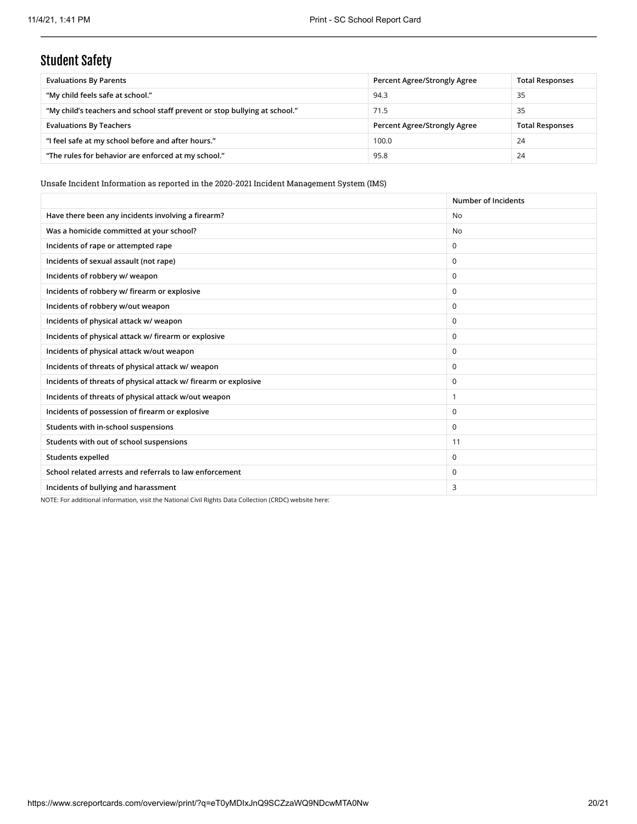# Student Safety

| <b>Evaluations By Parents</b>                                              | Percent Agree/Strongly Agree | <b>Total Responses</b> |
|----------------------------------------------------------------------------|------------------------------|------------------------|
| "My child feels safe at school."                                           | 94.3                         | 35                     |
| "My child's teachers and school staff prevent or stop bullying at school." | 71.5                         | 35                     |
| <b>Evaluations By Teachers</b>                                             | Percent Agree/Strongly Agree | <b>Total Responses</b> |
| "I feel safe at my school before and after hours."                         | 100.0                        | 24                     |
| "The rules for behavior are enforced at my school."                        | 95.8                         | 24                     |

Unsafe Incident Information as reported in the 2020-2021 Incident Management System (IMS)

|                                                                 | Number of Incidents |
|-----------------------------------------------------------------|---------------------|
| Have there been any incidents involving a firearm?              | <b>No</b>           |
| Was a homicide committed at your school?                        | No.                 |
| Incidents of rape or attempted rape                             | $\Omega$            |
| Incidents of sexual assault (not rape)                          | $\Omega$            |
| Incidents of robbery w/ weapon                                  | $\mathbf 0$         |
| Incidents of robbery w/ firearm or explosive                    | $\Omega$            |
| Incidents of robbery w/out weapon                               | $\mathbf 0$         |
| Incidents of physical attack w/ weapon                          | $\Omega$            |
| Incidents of physical attack w/ firearm or explosive            | $\Omega$            |
| Incidents of physical attack w/out weapon                       | $\Omega$            |
| Incidents of threats of physical attack w/ weapon               | $\Omega$            |
| Incidents of threats of physical attack w/ firearm or explosive | $\Omega$            |
| Incidents of threats of physical attack w/out weapon            | $\overline{1}$      |
| Incidents of possession of firearm or explosive                 | $\Omega$            |
| Students with in-school suspensions                             | $\mathbf 0$         |
| Students with out of school suspensions                         | 11                  |
| Students expelled                                               | $\Omega$            |
| School related arrests and referrals to law enforcement         | $\Omega$            |
| Incidents of bullying and harassment                            | 3                   |

NOTE: For additional information, visit the National Civil Rights Data Collection (CRDC) website here: